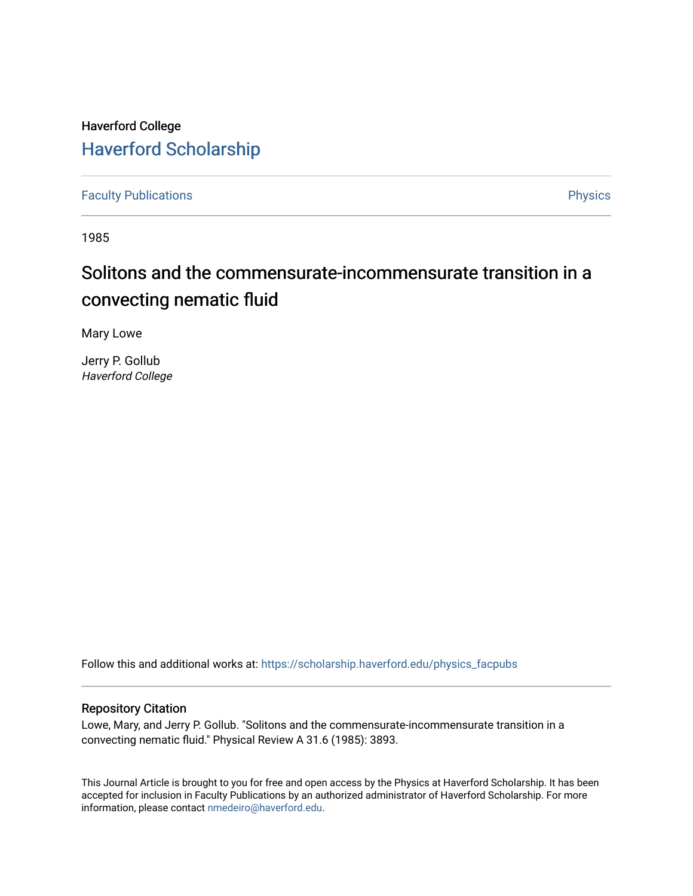## Haverford College [Haverford Scholarship](https://scholarship.haverford.edu/)

[Faculty Publications](https://scholarship.haverford.edu/physics_facpubs) **Physics** 

1985

# Solitons and the commensurate-incommensurate transition in a convecting nematic fluid

Mary Lowe

Jerry P. Gollub Haverford College

Follow this and additional works at: [https://scholarship.haverford.edu/physics\\_facpubs](https://scholarship.haverford.edu/physics_facpubs?utm_source=scholarship.haverford.edu%2Fphysics_facpubs%2F259&utm_medium=PDF&utm_campaign=PDFCoverPages) 

### Repository Citation

Lowe, Mary, and Jerry P. Gollub. "Solitons and the commensurate-incommensurate transition in a convecting nematic fluid." Physical Review A 31.6 (1985): 3893.

This Journal Article is brought to you for free and open access by the Physics at Haverford Scholarship. It has been accepted for inclusion in Faculty Publications by an authorized administrator of Haverford Scholarship. For more information, please contact [nmedeiro@haverford.edu.](mailto:nmedeiro@haverford.edu)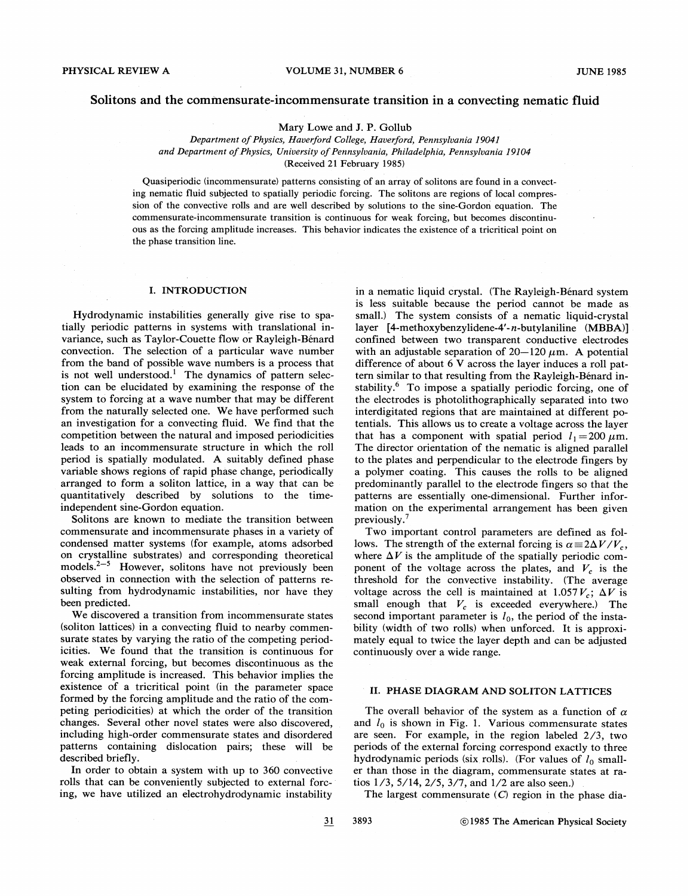#### Solitons and the commensurate-incommensurate transition in a convecting nematic fluid

#### Mary Lowe and J. P. Gollub

Department of Physics, Hauerford College, Hauerford, Pennsyluania 19041 and Department of Physics, Uniuersity of Pennsyluania, Philadelphia, Pennsyluania 19104 (Received 21 February 1985)

Quasiperiodic (incommensurate) patterns consisting of an array of solitons are found in a convecting nematic fluid subjected to spatially periodic forcing. The solitons are regions of local compression of the convective rolls and are well described by solutions to the sine-Gordon equation. The commensurate-incommensurate transition is continuous for weak forcing, but becomes discontinuous as the forcing amplitude increases. This behavior indicates the existence of a tricritical point on the phase transition line.

#### I. INTRODUCTION

Hydrodynamic instabilities generally give rise to spatially periodic patterns in systems with translational invariance, such as Taylor-Couette flow or Rayleigh-Benard convection. The selection of a particular wave number from the band of possible wave numbers is a process that is not well understood.<sup>1</sup> The dynamics of pattern selection can be elucidated by examining the response of the system to forcing at a wave number that may be different from the naturally selected one. We have performed such an investigation for a convecting fluid. We find that the competition between the natural and imposed periodicities leads to an incommensurate structure in which the roll period is spatially modulated. A suitably defined phase variable shows regions of rapid phase change, periodically arranged to form a soliton lattice, in a way that can be quantitatively described by solutions to the timeindependent sine-Gordon equation.

Solitons are known to mediate the transition between commensurate and incommensurate phases in a variety of condensed matter systems (for example, atoms adsorbed on crystalline substrates) and corresponding theoretical  $models.<sup>2-5</sup>$  However, solitons have not previously been observed in connection with the selection of patterns resulting from hydrodynamic instabilities, nor have they been predicted.

We discovered a transition from incommensurate states (soliton lattices) in a convecting fluid to nearby commensurate states by varying the ratio of the competing periodicities. We found that the transition is continuous for weak external forcing, but becomes discontinuous as the forcing amplitude is increased. This behavior implies the existence of a tricritical point (in the parameter space formed by the forcing amplitude and the ratio of the competing periodicities) at which the order of the transition changes. Several other novel states were also discovered, including high-order commensurate states and disordered patterns containing dislocation pairs; these will be described briefly.

In order to obtain a system with up to 360 convective rolls that can be conveniently subjected to external forcing, we have utilized an electrohydrodynamic instability

in a nematic liquid crystal. (The Rayleigh-Bénard system is less suitable because the period cannot be made as small.) The system consists of a nematic liquid-crystal layer [4-methoxybenzylidene-4'-n-butylaniline (MBBA)] confined between two transparent conductive electrodes with an adjustable separation of  $20-120 \mu m$ . A potential difference of about  $6V$  across the layer induces a roll pattern similar to that resulting from the Rayleigh-Benard instability.<sup>6</sup> To impose a spatially periodic forcing, one of the electrodes is photolithographically separated into two interdigitated regions that are maintained at different potentials. This allows us to create a voltage across the layer that has a component with spatial period  $l_1 = 200 \mu m$ . The director orientation of the nematic is aligned parallel to the plates and perpendicular to the electrode fingers by a polymer coating. This causes the rolls to be aligned predominantly parallel to the electrode fingers so that the patterns are essentially one-dimensional. Further information on the experimental arrangement has been given previously.<sup>7</sup>

Two important control parameters are defined as follows. The strength of the external forcing is  $\alpha = 2\Delta V/V_c$ , where  $\Delta V$  is the amplitude of the spatially periodic component of the voltage across the plates, and  $V_c$  is the threshold for the convective instability. (The average voltage across the cell is maintained at 1.057 $V_c$ ;  $\Delta V$  is small enough that  $V_c$  is exceeded everywhere.) The second important parameter is  $l_0$ , the period of the instability (width of two rolls) when unforced. It is approximately equal to twice the layer depth and can be adjusted continuously over a wide range.

#### II. PHASE DIAGRAM AND SOLITON LATTICES

The overall behavior of the system as a function of  $\alpha$ and  $l_0$  is shown in Fig. 1. Various commensurate states are seen. For example, in the region labeled 2/3, two periods of the external forcing correspond exactly to three hydrodynamic periods (six rolls). (For values of  $l_0$  smaller than those in the diagram, commensurate states at ratios  $1/3$ ,  $5/14$ ,  $2/5$ ,  $3/7$ , and  $1/2$  are also seen.)

The largest commensurate  $(C)$  region in the phase dia-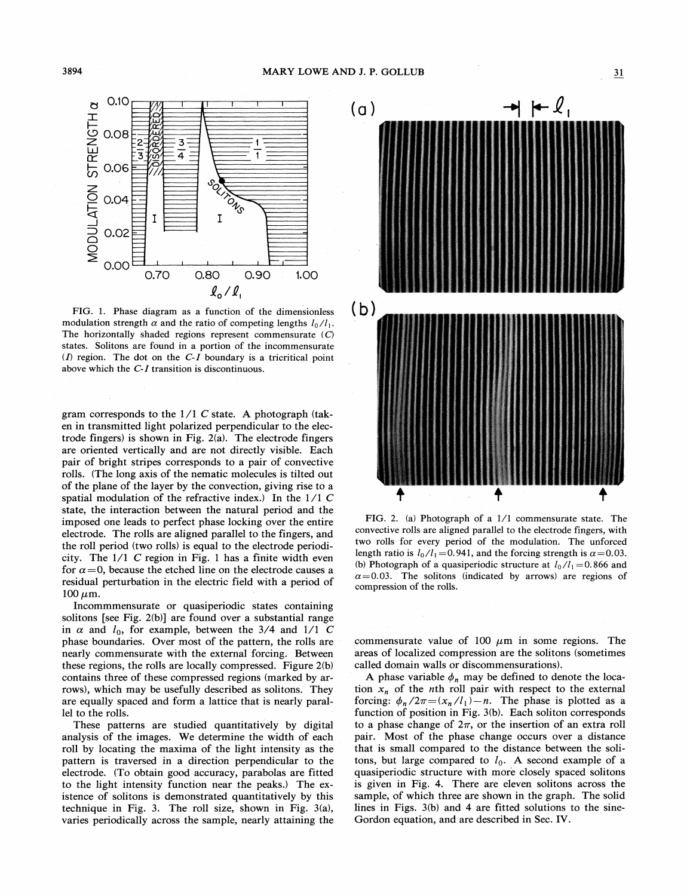

FIG. 1. Phase diagram as a function of the dimensionless modulation strength  $\alpha$  and the ratio of competing lengths  $l_0/l_1$ . The horizontally shaded regions represent commensurate (C) states. Solitons are found in a portion of the incommensurate  $(I)$  region. The dot on the  $C-I$  boundary is a tricritical point above which the C-I transition is discontinuous.

gram corresponds to the  $1/1$  C state. A photograph (taken in transmitted light polarized perpendicular to the electrode fingers) is shown in Fig. 2(a). The electrode fingers are oriented vertically and are not directly visible. Each pair of bright stripes corresponds to a pair of convective rolls. (The long axis of the nematic molecules is tilted out of the plane of the layer by the convection, giving rise to a spatial modulation of the refractive index.) In the  $1/1 C$ state, the interaction between the natural period and the imposed one leads to perfect phase locking over the entire electrode. The rolls are aligned parallel to the fingers, and the roll period (two rolls) is equal to the electrode periodicity. The 1/1 C region in Fig. <sup>1</sup> has a finite width even for  $\alpha=0$ , because the etched line on the electrode causes a residual perturbation in the electric field with a period of  $100 \mu m$ .

Incommmensurate or quasiperiodic states containing solitons [see Fig. 2(b)] are found over a substantial range in  $\alpha$  and  $l_0$ , for example, between the 3/4 and 1/1 C phase boundaries. Over most of the pattern, the rolls are nearly commensurate with the external forcing. Between these regions, the rolls are locally compressed. Figure 2(b) contains three of these compressed regions (marked by arrows), which may be usefully described as solitons. They are equally spaced and form a lattice that is nearly parallel to the rolls.

These patterns are studied quantitatively by digital analysis of the images. We determine the width of each roll by locating the maxima of the light intensity as the pattern is traversed in a direction perpendicular to the electrode. (To obtain good accuracy, parabolas are fitted to the light intensity function near the peaks.) The existence of solitons is demonstrated quantitatively by this technique in Fig. 3. The roll size, shown in Fig. 3(a), varies periodically across the sample, nearly attaining the



FIG. 2. (a) Photograph of a 1/1 commensurate state. The convective rolls are aligned parallel to the electrode fingers, with two rolls for every period of the modulation. The unforced length ratio is  $l_0/l_1 = 0.941$ , and the forcing strength is  $\alpha = 0.03$ . (b) Photograph of a quasiperiodic structure at  $l_0/l_1 = 0.866$  and  $\alpha$ =0.03. The solitons (indicated by arrows) are regions of compression of the rolls.

commensurate value of 100  $\mu$ m in some regions. The areas of localized compression are the solitons (sometimes called domain walls or discommensurations).

A phase variable  $\phi_n$  may be defined to denote the location  $x_n$  of the *n*th roll pair with respect to the external forcing:  $\phi_n/2\pi = (x_n/l_1) - n$ . The phase is plotted as a function of position in Fig. 3(b). Each soliton corresponds to a phase change of  $2\pi$ , or the insertion of an extra roll pair. Most of the phase change occurs over a distance that is small compared to the distance between the solitons, but large compared to  $l_0$ . A second example of a quasiperiodic structure with more closely spaced solitons is given in Fig. 4. There are eleven solitons across the sample, of which three are shown in the graph. The solid lines in Figs. 3(b) and 4 are fitted solutions to the sine-Gordon equation, and are described in Sec. IV.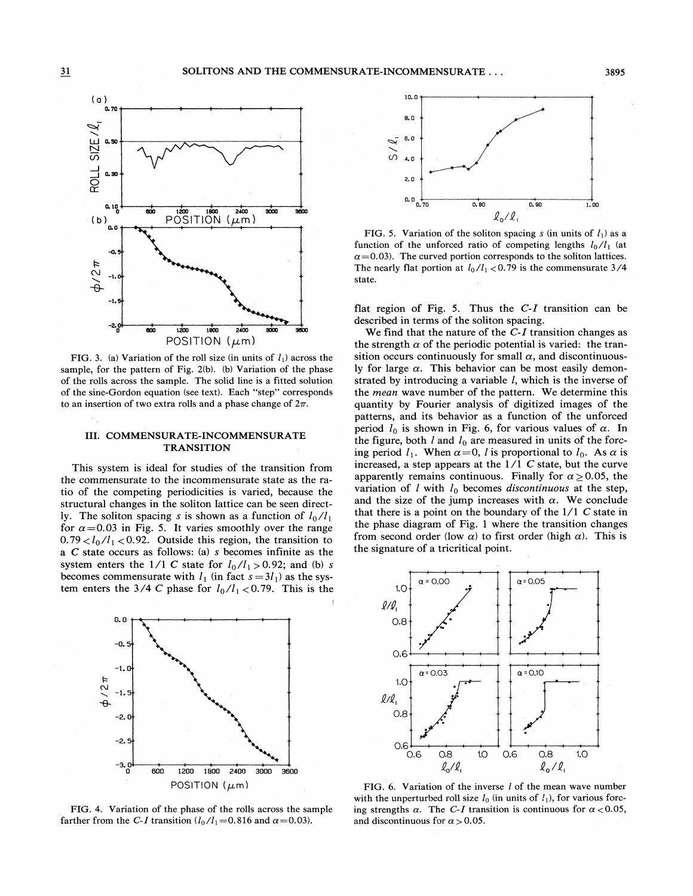

FIG. 3. (a) Variation of the roll size (in units of  $l_1$ ) across the sample, for the pattern of Fig. 2(b). (b) Variation of the phase of the rolls across the sample. The solid line is a fitted solution of the sine-Gordon equation (see text). Each "step" corresponds to an insertion of two extra rolls and a phase change of  $2\pi$ .

#### III. COMMENSURATE-INCOMMENSURATE TRANSITION

This system is ideal for studies of the transition from the commensurate to the incommensurate state as the ratio of the competing periodicities is varied, because the structural changes in the soliton lattice can be seen directly. The soliton spacing s is shown as a function of  $l_0/l_1$ for  $\alpha$ =0.03 in Fig. 5. It varies smoothly over the range  $0.79 < l_0/l_1 < 0.92$ . Outside this region, the transition to a C state occurs as follows: (a) s becomes infinite as the system enters the 1/1 C state for  $l_0/l_1 > 0.92$ ; and (b) s becomes commensurate with  $l_1$  (in fact  $s = 3l_1$ ) as the system enters the 3/4 C phase for  $l_0/l_1 < 0.79$ . This is the



FIG. 4. Variation of the phase of the rolls across the sample farther from the C-I transition  $(l_0/l_1 = 0.816$  and  $\alpha = 0.03$ ).



FIG. 5. Variation of the soliton spacing s (in units of  $l_1$ ) as a function of the unforced ratio of competing lengths  $l_0/l_1$  (at  $\alpha$ =0.03). The curved portion corresponds to the soliton lattices. The nearly flat portion at  $l_0/l_1 < 0.79$  is the commensurate 3/4 state.

flat region of Fig. 5. Thus the  $C-I$  transition can be described in terms of the soliton spacing.

We find that the nature of the  $C-I$  transition changes as the strength  $\alpha$  of the periodic potential is varied: the transition occurs continuously for small  $\alpha$ , and discontinuously for large  $\alpha$ . This behavior can be most easily demonstrated by introducing a variable  $l$ , which is the inverse of the mean wave number of the pattern. We determine this quantity by Fourier analysis of digitized images of the patterns, and its behavior as a function of the unforced period  $l_0$  is shown in Fig. 6, for various values of  $\alpha$ . In the figure, both  $l$  and  $l_0$  are measured in units of the forcing period  $l_1$ . When  $\alpha=0$ , l is proportional to  $l_0$ . As  $\alpha$  is increased, a step appears at the 1/1 C state, but the curve apparently remains continuous. Finally for  $\alpha \ge 0.05$ , the variation of l with  $l_0$  becomes discontinuous at the step, and the size of the jump increases with  $\alpha$ . We conclude that there is a point on the boundary of the  $1/1$  C state in the phase diagram of Fig. <sup>1</sup> where the transition changes from second order (low  $\alpha$ ) to first order (high  $\alpha$ ). This is the signature of a tricriticai point.



FIG. 6. Variation of the inverse  $l$  of the mean wave number with the unperturbed roll size  $l_0$  (in units of  $l_1$ ), for various forcing strengths  $\alpha$ . The C-I transition is continuous for  $\alpha < 0.05$ , and discontinuous for  $\alpha > 0.05$ .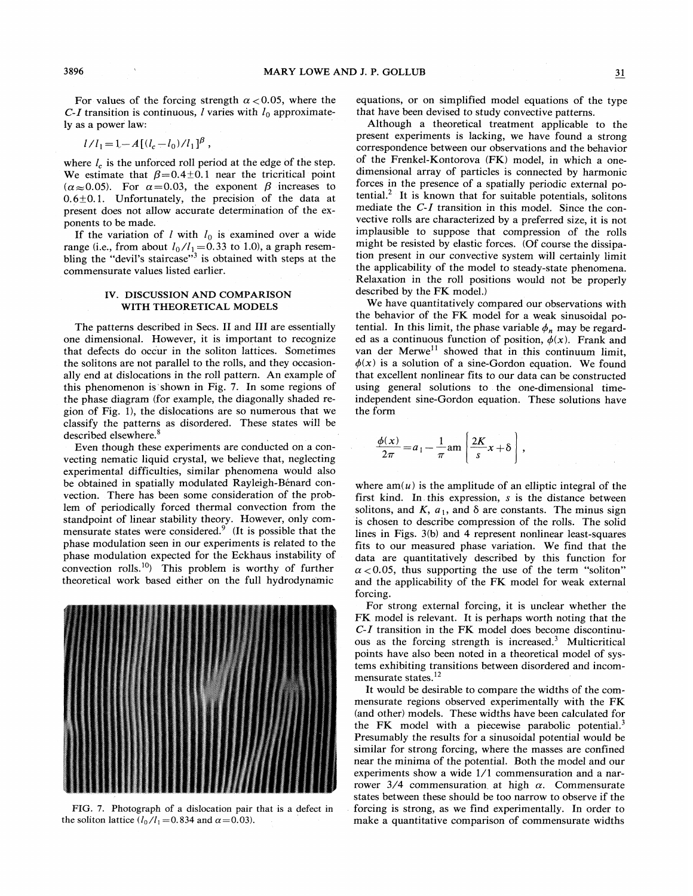For values of the forcing strength  $\alpha < 0.05$ , where the C-I transition is continuous, l varies with  $l_0$  approximately as a power law:

$$
l/l_1 = 1 - A[(l_c - l_0)/l_1]^{\beta},
$$

where  $l_c$  is the unforced roll period at the edge of the step. We estimate that  $\beta = 0.4 \pm 0.1$  near the tricritical point  $(\alpha \approx 0.05)$ . For  $\alpha = 0.03$ , the exponent  $\beta$  increases to  $0.6 \pm 0.1$ . Unfortunately, the precision of the data at present does not allow accurate determination of the exponents to be made.

If the variation of  $l$  with  $l_0$  is examined over a wide range (i.e., from about  $l_0/l_1 = 0.33$  to 1.0), a graph resembling the "devil's staircase"<sup>3</sup> is obtained with steps at the commensurate values listed earlier.

#### IV. DISCUSSION AND COMPARISON WITH THEORETICAL MODELS

The patterns described in Secs. II and III are essentially one dimensional. However, it is important to recognize that defects do occur in the soliton lattices. Sometimes the solitons are not parallel to the rolls, and they occasionally end at dislocations in the roll pattern. An example of this phenomenon is'shown in Fig. 7. In some regions of the phase diagram (for example, the diagonally shaded region of Fig. 1), the dislocations are so numerous that we classify the patterns as disordered. These states wi11 be described elsewhere.

Even though these experiments are conducted on a convecting nematic liquid crystal, we believe that, neglecting experimental difficulties, similar phenomena would also be obtained in spatially modulated Rayleigh-Benard convection. There has been some consideration of the problem of periodically forced thermal convection from the standpoint of linear stability theory. However, only commensurate states were considered. $\frac{9}{9}$  (It is possible that the phase modulation seen in our experiments is related to the phase modulation expected for the Eckhaus instability of convection rolls.<sup>10</sup>) This problem is worthy of further theoretical work based either on the full hydrodynamic

I II

FIG. 7. Photograph of a dislocation pair that is a defect in the soliton lattice  $(l_0/l_1 = 0.834$  and  $\alpha = 0.03$ ).

equations, or on simplified model equations of the type that have been devised to study convective patterns.

Although a theoretical treatment applicable to the present experiments is lacking, we have found a strong correspondence between our observations and the behavior of the Frenkel-Kontorova (FK) model, in which a onedimensional array of particles is connected by harmonic forces in the presence of a spatially periodic external potential.<sup>2</sup> It is known that for suitable potentials, solitons mediate the C-I transition in this model. Since the convective rolls are characterized by a preferred size, it is not implausible to suppose that compression of the rolls might be resisted by elastic forces. (Of course the dissipation present in our convective system will certainly limit the applicability of the model to steady-state phenomena. Relaxation in the roll positions would not be properly described by the FK model.)

We have quantitatively compared our observations with the behavior of the FK model for a weak sinusoidal potential. In this limit, the phase variable  $\phi_n$  may be regarded as a continuous function of position,  $\phi(x)$ . Frank and van der Merwe<sup>11</sup> showed that in this continuum limit,  $\phi(x)$  is a solution of a sine-Gordon equation. We found that excellent nonlinear fits to our data can be constructed using general solutions to the one-dimensional timeindependent sine-Gordon equation. These solutions have the form

$$
\frac{\phi(x)}{2\pi} = a_1 - \frac{1}{\pi} \text{am} \left[ \frac{2K}{s} x + \delta \right],
$$

where  $am(u)$  is the amplitude of an elliptic integral of the first kind. In. this expression, s is the distance between solitons, and K,  $a_1$ , and  $\delta$  are constants. The minus sign is chosen to describe compression of the rolls. The solid lines in Figs. 3(b) and 4 represent nonlinear least-squares fits to our measured phase variation. We find that the data are quantitatively described by this function for  $\alpha$  < 0.05, thus supporting the use of the term "soliton" and the applicability of the FK model for weak external forcing.

For strong external forcing, it is unclear whether the FK model is relevant. It is perhaps worth noting that the  $C-I$  transition in the FK model does become discontinuous as the forcing strength is increased.<sup>3</sup> Multicritical points have also been noted in a theoretical model of systems exhibiting transitions between disordered and incommensurate states.<sup>12</sup>

It would be desirable to compare the widths of the commensurate regions observed experimentally with the FK (and other) models. These widths have been calculated for the FK model with a piecewise parabolic potential. Presumably the results for a sinusoidal potential would be similar for strong forcing, where the masses are confined near the minima of the potential. Both the model and our experiments show a wide 1/1 commensuration and a narrower  $3/4$  commensuration at high  $\alpha$ . Commensurate states between these should be too narrow to observe if the forcing is strong, as we find experimentally. In order to make a quantitative comparison of commensurate widths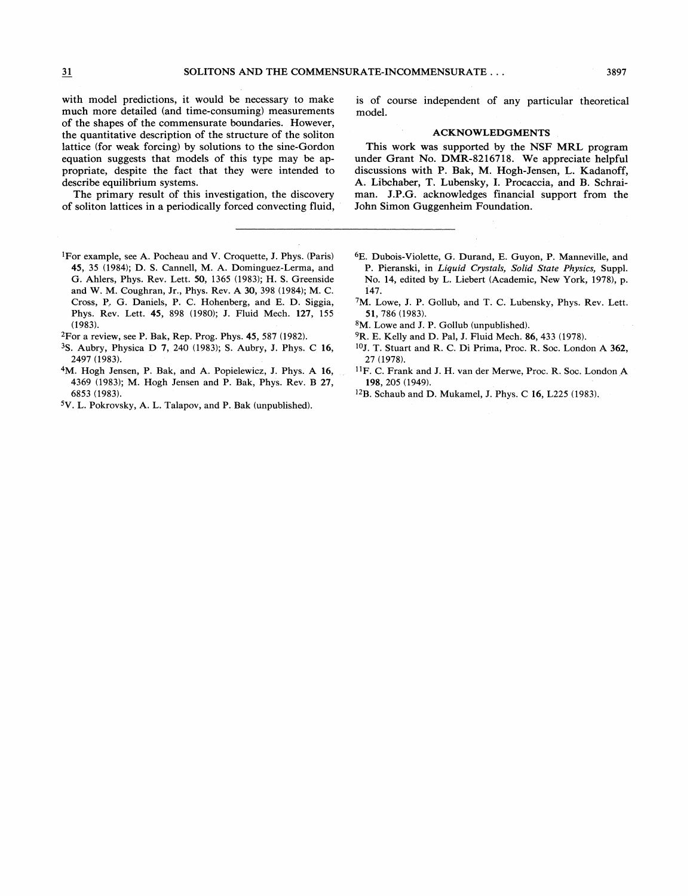with model predictions, it would be necessary to make much more detailed (and time-consuming) measurements of the shapes of the commensurate boundaries. However, the quantitative description of the structure of the soliton lattice (for weak forcing) by solutions to the sine-Gordon equation suggests that models of this type may be appropriate, despite the fact that they were intended to describe equilibrium systems.

The primary result of this investigation, the discovery of soliton lattices in a periodically forced convecting fluid, is of course independent of any particular theoretical model.

#### **ACKNOWLEDGMENTS**

This work was supported by the NSF MRL program under Grant No. DMR-8216718. We appreciate helpful discussions with P. Bak, M. Hogh-Jensen, L. Kadanoff, A. Libchaber, T. Lubensky, I. Procaccia, and B. Schraiman. J.P.G. acknowledges financial support from the John Simon Guggenheim Foundation.

For example, see A. Pocheau and V. Croquette, J. Phys. (Paris) 45, 35 (1984); D. S. Cannell, M. A. Dominguez-Lerma, and G. Ahlers, Phys. Rev. Lett. 50, 1365 (1983); H. S. Greenside and W. M. Coughran, Jr., Phys. Rev. A 30, 398 (1984); M. C. Cross, P,. G. Daniels, P. C. Hohenberg, and E. D. Siggia, Phys. Rev. Lett. 45, 898 (1980); J. Fluid Mech. 127, 155 (1983).

- S. Aubry, Physica D 7, 240 (1983); S. Aubry, J. Phys. C 16, 2497 (1983).
- 4M. Hogh Jensen, P. Bak, and A. Popielewicz, J. Phys. A 16, 4369 (1983); M. Hogh Jensen and P. Bak, Phys. Rev. 8 27, 6853 (1983).
- 5V. L. Pokrovsky, A. L. Talapov, and P. Bak (unpublished).
- E. Dubois-Violette, G. Durand, E. Guyon, P. Manneville, and P. Pieranski, in Liquid Crystals, Solid State Physics, Suppl. No. 14, edited by L. Liebert {Academic, New York, 1978), p. 147.
- 7M. Lowe, J. P. Gollub, and T. C. Lubensky, Phys. Rev. Lett. 51, 786 (1983).
- <sup>8</sup>M. Lowe and J. P. Gollub (unpublished).
- <sup>9</sup>R. E. Kelly and D. Pal, J. Fluid Mech. 86, 433 (1978).
- <sup>10</sup>J. T. Stuart and R. C. Di Prima, Proc. R. Soc. London A 362, 27 (1978).
- <sup>11</sup>F. C. Frank and J. H. van der Merwe, Proc. R. Soc. London A 198, 205 (1949).
- 12B. Schaub and D. Mukamel, J. Phys. C 16, L225 (1983).

For a review, see P. Bak, Rep. Prog. Phys. 45, 587 (1982).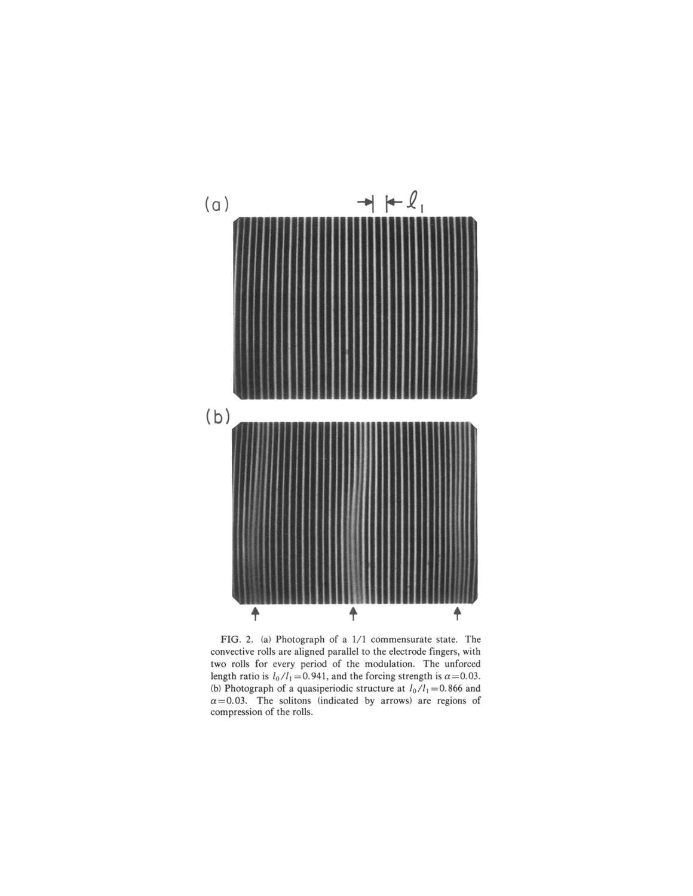

FIG. 2. (a) Photograph of a 1/1 commensurate state. The convective rolls are aligned parallel to the electrode fingers, with two rolls for every period of the modulation. The unforced length ratio is  $l_0/l_1 = 0.941$ , and the forcing strength is  $\alpha = 0.03$ . (b) Photograph of a quasiperiodic structure at  $l_0/l_1 = 0.866$  and  $\alpha$ =0.03. The solitons (indicated by arrows) are regions of compression of the rolls.